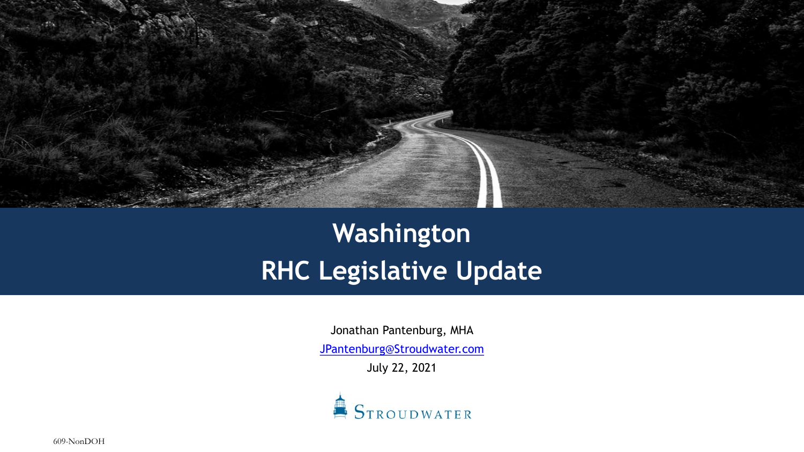

## **Washington RHC Legislative Update**

Jonathan Pantenburg, MHA

[JPantenburg@Stroudwater.com](mailto:JPantenburg@Stroudwater.com)

July 22, 2021



609-NonDOH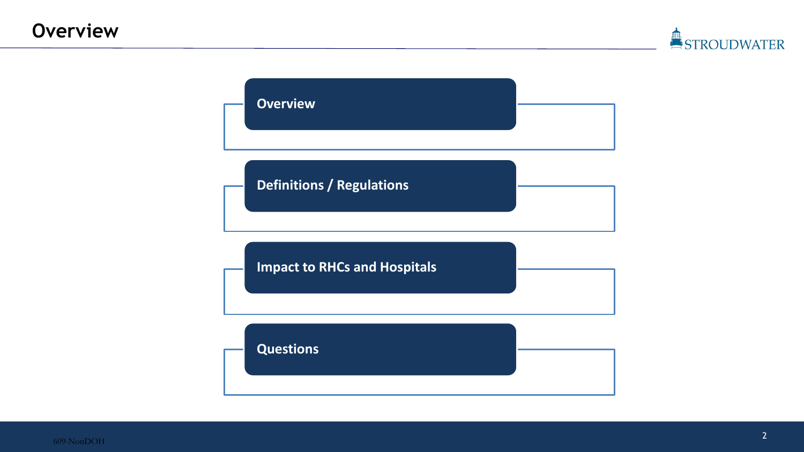



609-NonDOH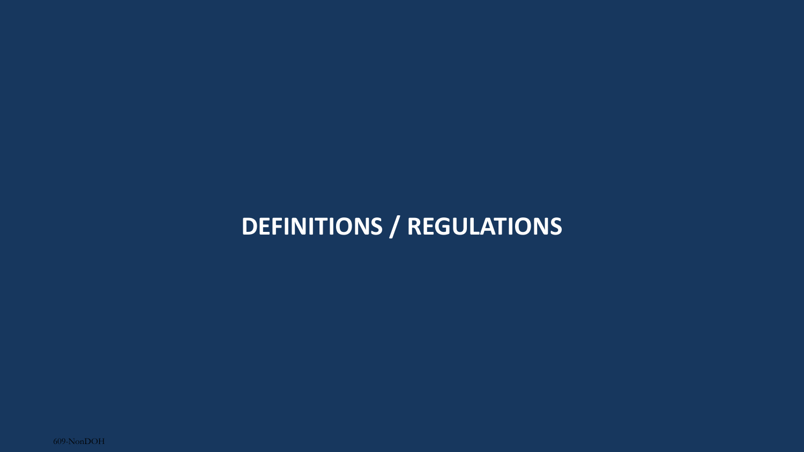## **DEFINITIONS / REGULATIONS**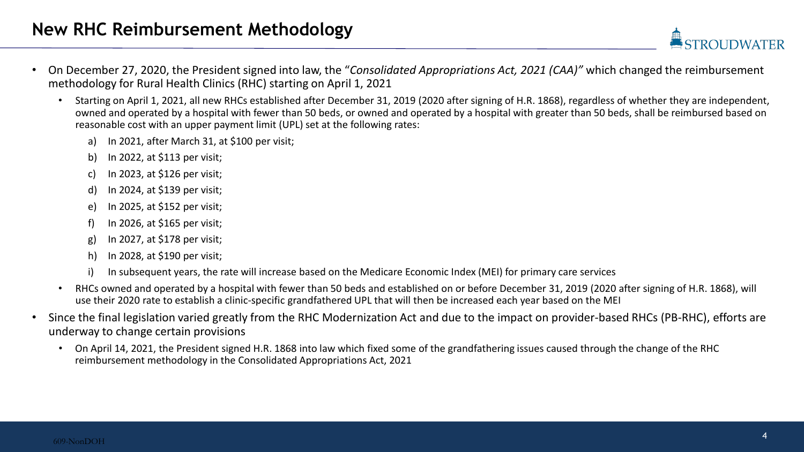- On December 27, 2020, the President signed into law, the "*Consolidated Appropriations Act, 2021 (CAA)"* which changed the reimbursement methodology for Rural Health Clinics (RHC) starting on April 1, 2021
	- Starting on April 1, 2021, all new RHCs established after December 31, 2019 (2020 after signing of H.R. 1868), regardless of whether they are independent, owned and operated by a hospital with fewer than 50 beds, or owned and operated by a hospital with greater than 50 beds, shall be reimbursed based on reasonable cost with an upper payment limit (UPL) set at the following rates:
		- a) In 2021, after March 31, at \$100 per visit;
		- b) In 2022, at \$113 per visit;
		- c) In 2023, at \$126 per visit;
		- d) In 2024, at \$139 per visit;
		- e) In 2025, at \$152 per visit;
		- f) In 2026, at \$165 per visit;
		- g) In 2027, at \$178 per visit;
		- h) In 2028, at \$190 per visit;
		- i) In subsequent years, the rate will increase based on the Medicare Economic Index (MEI) for primary care services
	- RHCs owned and operated by a hospital with fewer than 50 beds and established on or before December 31, 2019 (2020 after signing of H.R. 1868), will use their 2020 rate to establish a clinic-specific grandfathered UPL that will then be increased each year based on the MEI
- Since the final legislation varied greatly from the RHC Modernization Act and due to the impact on provider-based RHCs (PB-RHC), efforts are underway to change certain provisions
	- On April 14, 2021, the President signed H.R. 1868 into law which fixed some of the grandfathering issues caused through the change of the RHC reimbursement methodology in the Consolidated Appropriations Act, 2021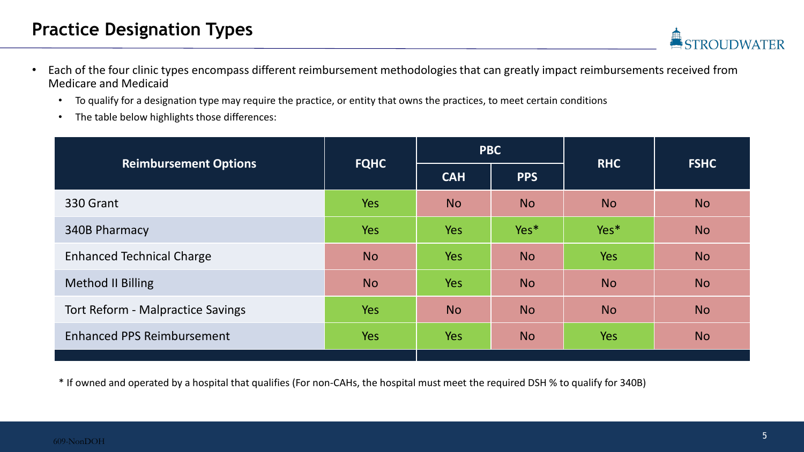- Each of the four clinic types encompass different reimbursement methodologies that can greatly impact reimbursements received from Medicare and Medicaid
	- To qualify for a designation type may require the practice, or entity that owns the practices, to meet certain conditions
	- The table below highlights those differences:

|                                          |             | <b>PBC</b> |            | <b>RHC</b> | <b>FSHC</b> |  |
|------------------------------------------|-------------|------------|------------|------------|-------------|--|
| <b>Reimbursement Options</b>             | <b>FQHC</b> | <b>CAH</b> | <b>PPS</b> |            |             |  |
| 330 Grant                                | <b>Yes</b>  | <b>No</b>  | <b>No</b>  | <b>No</b>  | <b>No</b>   |  |
| 340B Pharmacy                            | <b>Yes</b>  | <b>Yes</b> | Yes*       | Yes*       | <b>No</b>   |  |
| <b>Enhanced Technical Charge</b>         | <b>No</b>   | <b>Yes</b> | <b>No</b>  | <b>Yes</b> | <b>No</b>   |  |
| <b>Method II Billing</b>                 | <b>No</b>   | <b>Yes</b> | <b>No</b>  | <b>No</b>  | <b>No</b>   |  |
| <b>Tort Reform - Malpractice Savings</b> | <b>Yes</b>  | <b>No</b>  | <b>No</b>  | <b>No</b>  | <b>No</b>   |  |
| <b>Enhanced PPS Reimbursement</b>        | <b>Yes</b>  | <b>Yes</b> | <b>No</b>  | <b>Yes</b> | <b>No</b>   |  |
|                                          |             |            |            |            |             |  |

\* If owned and operated by a hospital that qualifies (For non-CAHs, the hospital must meet the required DSH % to qualify for 340B)

**DWATER**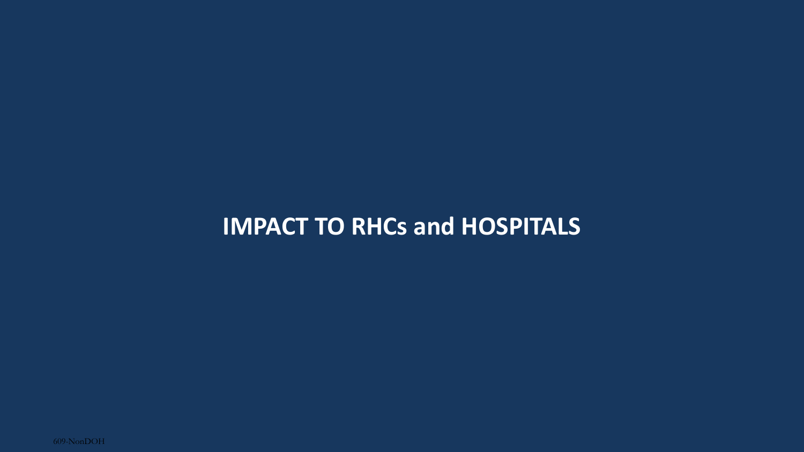## **IMPACT TO RHCs and HOSPITALS**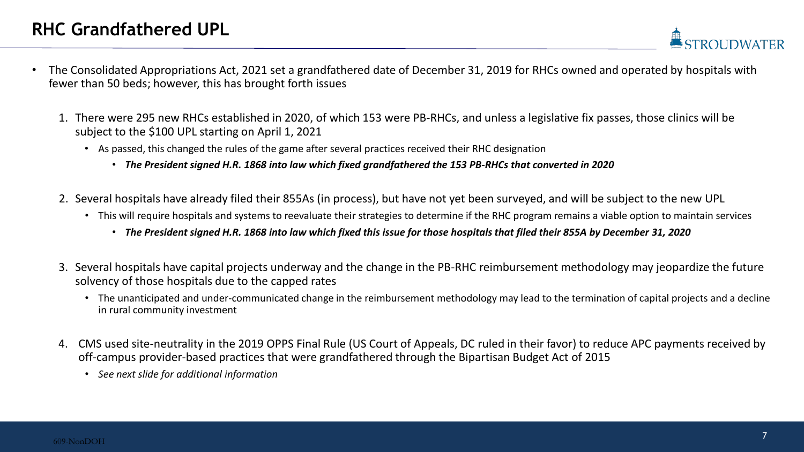- The Consolidated Appropriations Act, 2021 set a grandfathered date of December 31, 2019 for RHCs owned and operated by hospitals with fewer than 50 beds; however, this has brought forth issues
	- 1. There were 295 new RHCs established in 2020, of which 153 were PB-RHCs, and unless a legislative fix passes, those clinics will be subject to the \$100 UPL starting on April 1, 2021
		- As passed, this changed the rules of the game after several practices received their RHC designation
			- *The President signed H.R. 1868 into law which fixed grandfathered the 153 PB-RHCs that converted in 2020*
	- 2. Several hospitals have already filed their 855As (in process), but have not yet been surveyed, and will be subject to the new UPL
		- This will require hospitals and systems to reevaluate their strategies to determine if the RHC program remains a viable option to maintain services
			- *The President signed H.R. 1868 into law which fixed this issue for those hospitals that filed their 855A by December 31, 2020*
	- 3. Several hospitals have capital projects underway and the change in the PB-RHC reimbursement methodology may jeopardize the future solvency of those hospitals due to the capped rates
		- The unanticipated and under-communicated change in the reimbursement methodology may lead to the termination of capital projects and a decline in rural community investment
	- 4. CMS used site-neutrality in the 2019 OPPS Final Rule (US Court of Appeals, DC ruled in their favor) to reduce APC payments received by off-campus provider-based practices that were grandfathered through the Bipartisan Budget Act of 2015
		- *See next slide for additional information*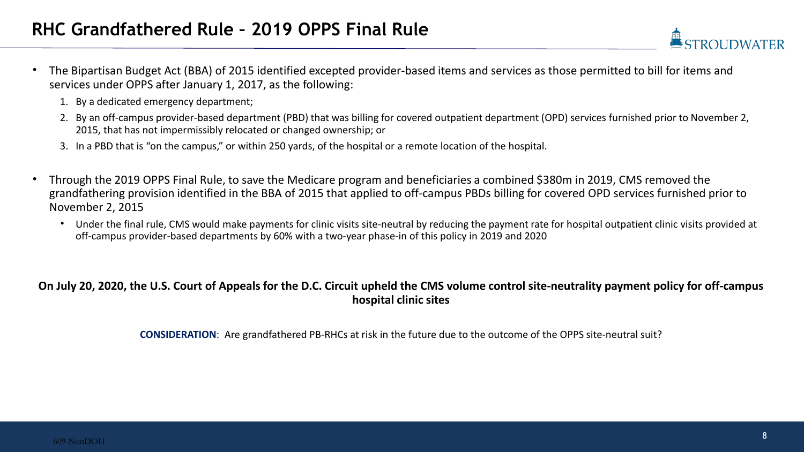- The Bipartisan Budget Act (BBA) of 2015 identified excepted provider-based items and services as those permitted to bill for items and services under OPPS after January 1, 2017, as the following:
	- 1. By a dedicated emergency department;
	- 2. By an off-campus provider-based department (PBD) that was billing for covered outpatient department (OPD) services furnished prior to November 2, 2015, that has not impermissibly relocated or changed ownership; or
	- 3. In a PBD that is "on the campus," or within 250 yards, of the hospital or a remote location of the hospital.
- Through the 2019 OPPS Final Rule, to save the Medicare program and beneficiaries a combined \$380m in 2019, CMS removed the grandfathering provision identified in the BBA of 2015 that applied to off-campus PBDs billing for covered OPD services furnished prior to November 2, 2015
	- Under the final rule, CMS would make payments for clinic visits site-neutral by reducing the payment rate for hospital outpatient clinic visits provided at off-campus provider-based departments by 60% with a two-year phase-in of this policy in 2019 and 2020

## **On July 20, 2020, the U.S. Court of Appeals for the D.C. Circuit upheld the CMS volume control site-neutrality payment policy for off-campus hospital clinic sites**

**CONSIDERATION**: Are grandfathered PB-RHCs at risk in the future due to the outcome of the OPPS site-neutral suit?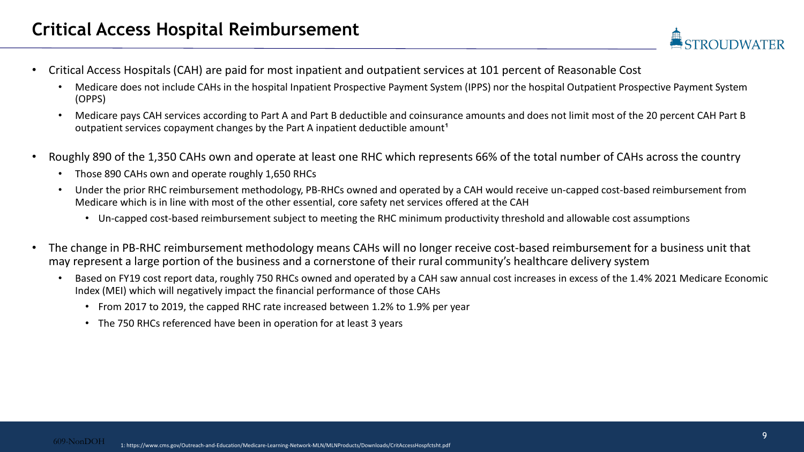- Critical Access Hospitals (CAH) are paid for most inpatient and outpatient services at 101 percent of Reasonable Cost
	- Medicare does not include CAHs in the hospital Inpatient Prospective Payment System (IPPS) nor the hospital Outpatient Prospective Payment System (OPPS)
	- Medicare pays CAH services according to Part A and Part B deductible and coinsurance amounts and does not limit most of the 20 percent CAH Part B outpatient services copayment changes by the Part A inpatient deductible amount<sup>1</sup>
- Roughly 890 of the 1,350 CAHs own and operate at least one RHC which represents 66% of the total number of CAHs across the country
	- Those 890 CAHs own and operate roughly 1,650 RHCs
	- Under the prior RHC reimbursement methodology, PB-RHCs owned and operated by a CAH would receive un-capped cost-based reimbursement from Medicare which is in line with most of the other essential, core safety net services offered at the CAH
		- Un-capped cost-based reimbursement subject to meeting the RHC minimum productivity threshold and allowable cost assumptions
- The change in PB-RHC reimbursement methodology means CAHs will no longer receive cost-based reimbursement for a business unit that may represent a large portion of the business and a cornerstone of their rural community's healthcare delivery system
	- Based on FY19 cost report data, roughly 750 RHCs owned and operated by a CAH saw annual cost increases in excess of the 1.4% 2021 Medicare Economic Index (MEI) which will negatively impact the financial performance of those CAHs
		- From 2017 to 2019, the capped RHC rate increased between 1.2% to 1.9% per year
		- The 750 RHCs referenced have been in operation for at least 3 years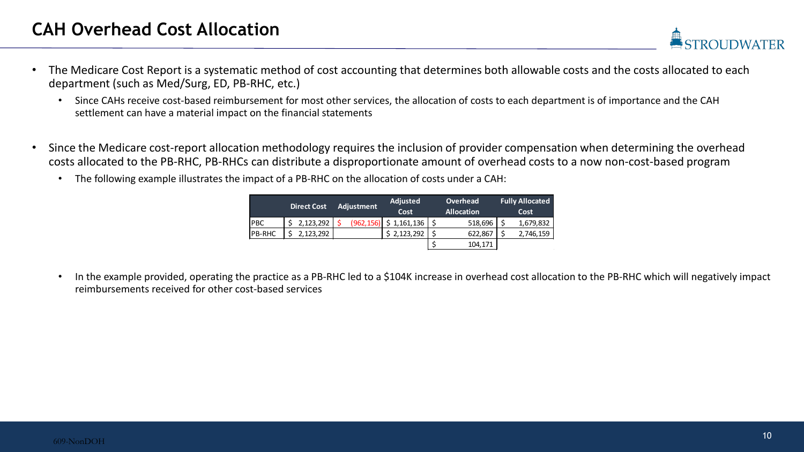- The Medicare Cost Report is a systematic method of cost accounting that determines both allowable costs and the costs allocated to each department (such as Med/Surg, ED, PB-RHC, etc.)
	- Since CAHs receive cost-based reimbursement for most other services, the allocation of costs to each department is of importance and the CAH settlement can have a material impact on the financial statements
- Since the Medicare cost-report allocation methodology requires the inclusion of provider compensation when determining the overhead costs allocated to the PB-RHC, PB-RHCs can distribute a disproportionate amount of overhead costs to a now non-cost-based program
	- The following example illustrates the impact of a PB-RHC on the allocation of costs under a CAH:

|               | <b>Direct Cost</b> | Adjustment | <b>Adjusted</b> | Overhead          |      | <b>Fully Allocated</b> |  |
|---------------|--------------------|------------|-----------------|-------------------|------|------------------------|--|
|               |                    |            | Cost            | <b>Allocation</b> | Cost |                        |  |
| <b>PBC</b>    | 2,123,292          | (962, 156) | \$1,161,136     | 518,696           |      | 1,679,832              |  |
| <b>PB-RHC</b> | 2,123,292          |            | \$2,123,292     | 622,867           |      | 2,746,159              |  |
|               |                    |            |                 | 104,171           |      |                        |  |

• In the example provided, operating the practice as a PB-RHC led to a \$104K increase in overhead cost allocation to the PB-RHC which will negatively impact reimbursements received for other cost-based services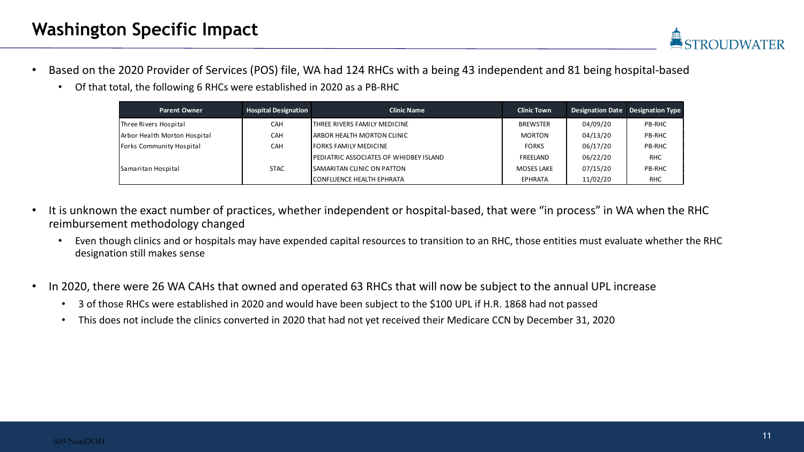

- Based on the 2020 Provider of Services (POS) file, WA had 124 RHCs with a being 43 independent and 81 being hospital-based
	- Of that total, the following 6 RHCs were established in 2020 as a PB-RHC

| <b>Parent Owner</b>          | <b>Hospital Designation</b> | <b>Clinic Name</b>                             | <b>Clinic Town</b> |          | Designation Date Designation Type |
|------------------------------|-----------------------------|------------------------------------------------|--------------------|----------|-----------------------------------|
| Three Rivers Hospital        | <b>CAH</b>                  | THREE RIVERS FAMILY MEDICINE                   | <b>BREWSTER</b>    | 04/09/20 | <b>PB-RHC</b>                     |
| Arbor Health Morton Hospital | <b>CAH</b>                  | ARBOR HEALTH MORTON CLINIC                     | MORTON             | 04/13/20 | <b>PB-RHC</b>                     |
| Forks Community Hospital     | <b>CAH</b>                  | <b>FORKS FAMILY MEDICINE</b>                   | <b>FORKS</b>       | 06/17/20 | <b>PB-RHC</b>                     |
|                              |                             | <b>IPEDIATRIC ASSOCIATES OF WHIDBEY ISLAND</b> | FREELAND           | 06/22/20 | <b>RHC</b>                        |
| Samaritan Hospital           | <b>STAC</b>                 | <b>ISAMARITAN CLINIC ON PATTON</b>             | MOSES LAKE         | 07/15/20 | <b>PB-RHC</b>                     |
|                              |                             | ICONFLUENCE HEALTH EPHRATA                     | EPHRATA            | 11/02/20 | <b>RHC</b>                        |

- It is unknown the exact number of practices, whether independent or hospital-based, that were "in process" in WA when the RHC reimbursement methodology changed
	- Even though clinics and or hospitals may have expended capital resources to transition to an RHC, those entities must evaluate whether the RHC designation still makes sense
- In 2020, there were 26 WA CAHs that owned and operated 63 RHCs that will now be subject to the annual UPL increase
	- 3 of those RHCs were established in 2020 and would have been subject to the \$100 UPL if H.R. 1868 had not passed
	- This does not include the clinics converted in 2020 that had not yet received their Medicare CCN by December 31, 2020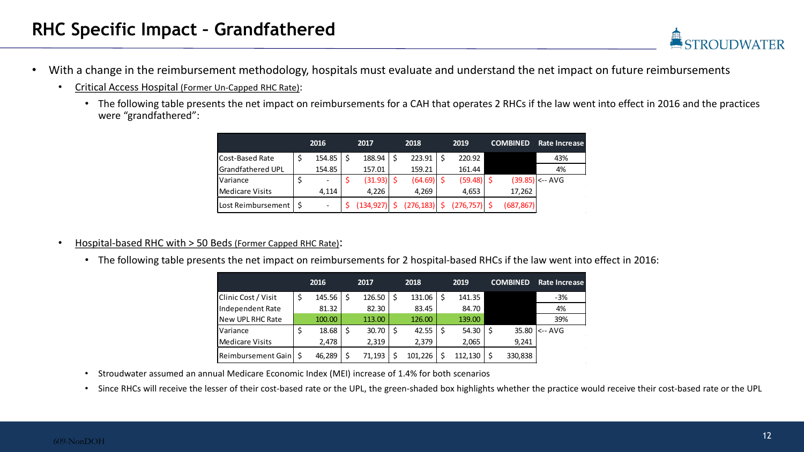- With a change in the reimbursement methodology, hospitals must evaluate and understand the net impact on future reimbursements
	- Critical Access Hospital (Former Un-Capped RHC Rate):
		- The following table presents the net impact on reimbursements for a CAH that operates 2 RHCs if the law went into effect in 2016 and the practices were "grandfathered":

|                          | 2016   | 2017       | 2018       | 2019       | <b>COMBINED</b> | Rate Increase     |
|--------------------------|--------|------------|------------|------------|-----------------|-------------------|
| Cost-Based Rate          | 154.85 | 188.94     | 223.91     | 220.92     |                 | 43%               |
| <b>Grandfathered UPL</b> | 154.85 | 157.01     | 159.21     | 161.44     |                 | 4%                |
| Variance                 |        | (31.93)    | (64.69)    | (59.48)    |                 | $(39.85)$ <-- AVG |
| <b>Medicare Visits</b>   | 4,114  | 4,226      | 4,269      | 4,653      | 17,262          |                   |
| Lost Reimbursement       |        | (134, 927) | (276, 183) | (276, 757) | (687,867)       |                   |

- Hospital-based RHC with > 50 Beds (Former Capped RHC Rate):
	- The following table presents the net impact on reimbursements for 2 hospital-based RHCs if the law went into effect in 2016:

|                         | 2016   | 2017   |    | 2018    | 2019    | <b>COMBINED</b> | <b>Rate Increase</b> |
|-------------------------|--------|--------|----|---------|---------|-----------------|----------------------|
| Clinic Cost / Visit     | 145.56 | 126.50 | \$ | 131.06  | 141.35  |                 | $-3%$                |
| Independent Rate        | 81.32  | 82.30  |    | 83.45   | 84.70   |                 | 4%                   |
| New UPL RHC Rate        | 100.00 | 113.00 |    | 126.00  | 139.00  |                 | 39%                  |
| Variance                | 18.68  | 30.70  | Ŝ. | 42.55   | 54.30   | 35.80           | $K - AVG$            |
| <b>Medicare Visits</b>  | 2,478  | 2,319  |    | 2,379   | 2,065   | 9,241           |                      |
| Reimbursement Gain   \$ | 46,289 | 71,193 |    | 101,226 | 112,130 | 330,838         |                      |

- Stroudwater assumed an annual Medicare Economic Index (MEI) increase of 1.4% for both scenarios
- Since RHCs will receive the lesser of their cost-based rate or the UPL, the green-shaded box highlights whether the practice would receive their cost-based rate or the UPL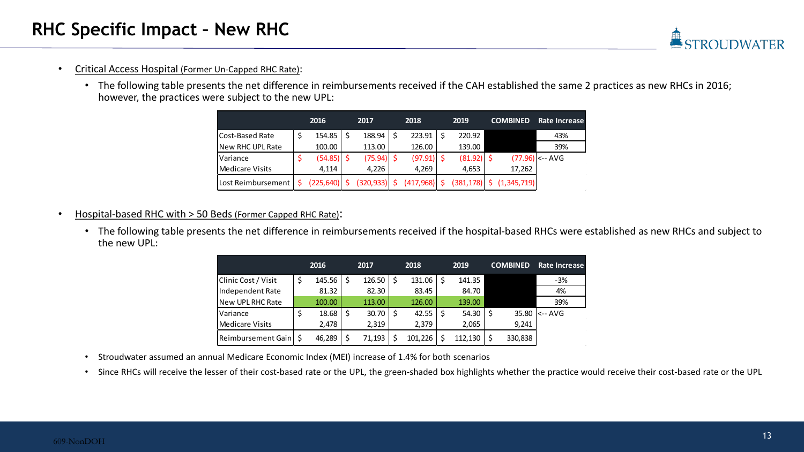- Critical Access Hospital (Former Un-Capped RHC Rate):
	- The following table presents the net difference in reimbursements received if the CAH established the same 2 practices as new RHCs in 2016; however, the practices were subject to the new UPL:

|                    | 2016       | 2017         | 2018         | 2019       | <b>COMBINED</b> | <b>Rate Increase</b> |
|--------------------|------------|--------------|--------------|------------|-----------------|----------------------|
| Cost-Based Rate    | 154.85     | 188.94       | 223.91       | 220.92     |                 | 43%                  |
| New RHC UPL Rate   | 100.00     | 113.00       | 126.00       | 139.00     |                 | 39%                  |
| Variance           | (54.85)    | $(75.94)$ \$ | $(97.91)$ \$ | (81.92)    |                 | $(77.96)$ <-- AVG    |
| Medicare Visits    | 4.114      | 4,226        | 4,269        | 4,653      | 17,262          |                      |
| Lost Reimbursement | (225, 640) | (320, 933)   | (417,968)    | (381, 178) | (1, 345, 719)   |                      |

- Hospital-based RHC with > 50 Beds (Former Capped RHC Rate):
	- The following table presents the net difference in reimbursements received if the hospital-based RHCs were established as new RHCs and subject to the new UPL:

|                         | 2016   | 2017   | 2018    | 2019    | <b>COMBINED</b> | Rate Increase |
|-------------------------|--------|--------|---------|---------|-----------------|---------------|
| Clinic Cost / Visit     | 145.56 | 126.50 | 131.06  | 141.35  |                 | $-3%$         |
| Independent Rate        | 81.32  | 82.30  | 83.45   | 84.70   |                 | 4%            |
| New UPL RHC Rate        | 100.00 | 113.00 | 126.00  | 139.00  |                 | 39%           |
| Variance                | 18.68  | 30.70  | 42.55   | 54.30   | 35.80           | k-- AVG       |
| <b>Medicare Visits</b>  | 2,478  | 2,319  | 2,379   | 2,065   | 9,241           |               |
| Reimbursement Gain   \$ | 46,289 | 71,193 | 101,226 | 112,130 | 330,838         |               |

- Stroudwater assumed an annual Medicare Economic Index (MEI) increase of 1.4% for both scenarios
- Since RHCs will receive the lesser of their cost-based rate or the UPL, the green-shaded box highlights whether the practice would receive their cost-based rate or the UPL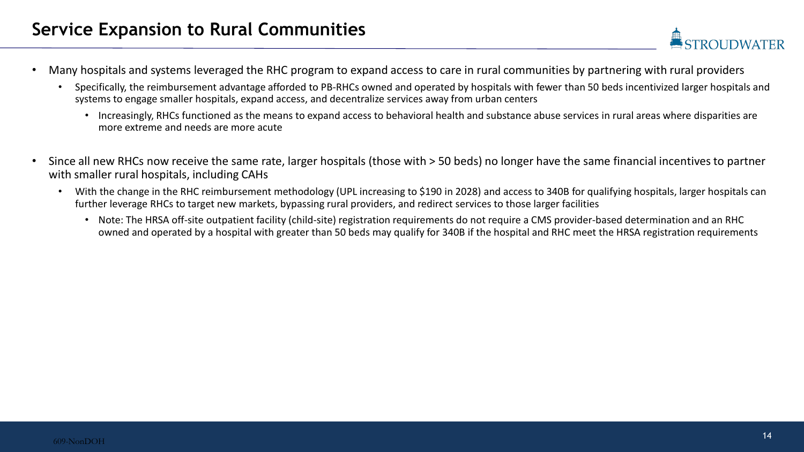- Many hospitals and systems leveraged the RHC program to expand access to care in rural communities by partnering with rural providers
	- Specifically, the reimbursement advantage afforded to PB-RHCs owned and operated by hospitals with fewer than 50 beds incentivized larger hospitals and systems to engage smaller hospitals, expand access, and decentralize services away from urban centers
		- Increasingly, RHCs functioned as the means to expand access to behavioral health and substance abuse services in rural areas where disparities are more extreme and needs are more acute
- Since all new RHCs now receive the same rate, larger hospitals (those with > 50 beds) no longer have the same financial incentives to partner with smaller rural hospitals, including CAHs
	- With the change in the RHC reimbursement methodology (UPL increasing to \$190 in 2028) and access to 340B for qualifying hospitals, larger hospitals can further leverage RHCs to target new markets, bypassing rural providers, and redirect services to those larger facilities
		- Note: The HRSA off-site outpatient facility (child-site) registration requirements do not require a CMS provider-based determination and an RHC owned and operated by a hospital with greater than 50 beds may qualify for 340B if the hospital and RHC meet the HRSA registration requirements